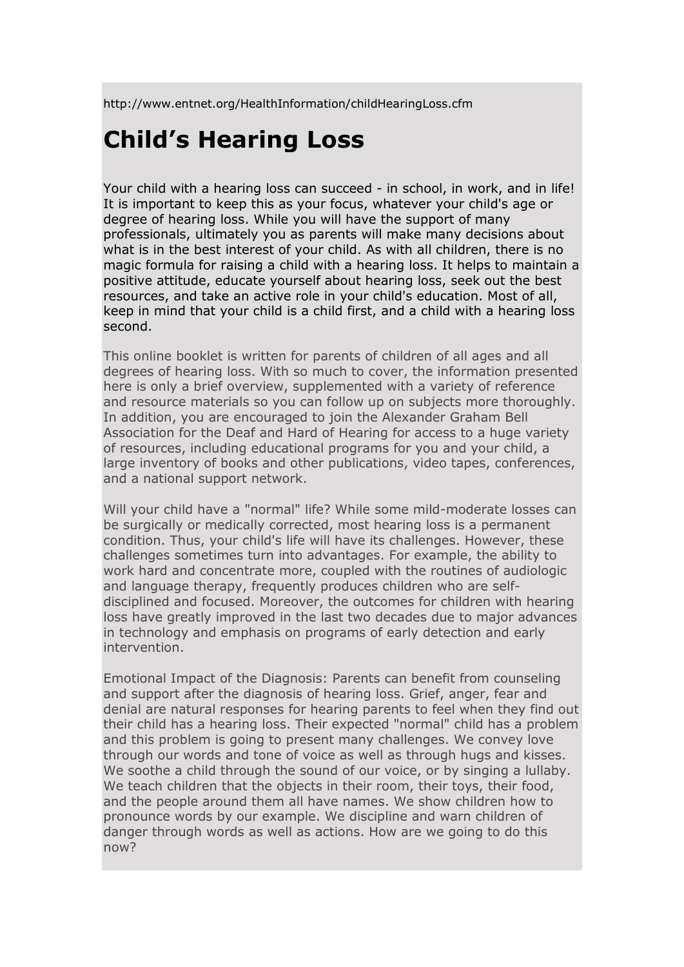http://www.entnet.org/HealthInformation/childHearingLoss.cfm

## **Child's Hearing Loss**

Your child with a hearing loss can succeed - in school, in work, and in life! It is important to keep this as your focus, whatever your child's age or degree of hearing loss. While you will have the support of many professionals, ultimately you as parents will make many decisions about what is in the best interest of your child. As with all children, there is no magic formula for raising a child with a hearing loss. It helps to maintain a positive attitude, educate yourself about hearing loss, seek out the best resources, and take an active role in your child's education. Most of all, keep in mind that your child is a child first, and a child with a hearing loss second.

This online booklet is written for parents of children of all ages and all degrees of hearing loss. With so much to cover, the information presented here is only a brief overview, supplemented with a variety of reference and resource materials so you can follow up on subjects more thoroughly. In addition, you are encouraged to join the Alexander Graham Bell Association for the Deaf and Hard of Hearing for access to a huge variety of resources, including educational programs for you and your child, a large inventory of books and other publications, video tapes, conferences, and a national support network.

Will your child have a "normal" life? While some mild-moderate losses can be surgically or medically corrected, most hearing loss is a permanent condition. Thus, your child's life will have its challenges. However, these challenges sometimes turn into advantages. For example, the ability to work hard and concentrate more, coupled with the routines of audiologic and language therapy, frequently produces children who are selfdisciplined and focused. Moreover, the outcomes for children with hearing loss have greatly improved in the last two decades due to major advances in technology and emphasis on programs of early detection and early intervention.

Emotional Impact of the Diagnosis: Parents can benefit from counseling and support after the diagnosis of hearing loss. Grief, anger, fear and denial are natural responses for hearing parents to feel when they find out their child has a hearing loss. Their expected "normal" child has a problem and this problem is going to present many challenges. We convey love through our words and tone of voice as well as through hugs and kisses. We soothe a child through the sound of our voice, or by singing a lullaby. We teach children that the objects in their room, their toys, their food, and the people around them all have names. We show children how to pronounce words by our example. We discipline and warn children of danger through words as well as actions. How are we going to do this now?